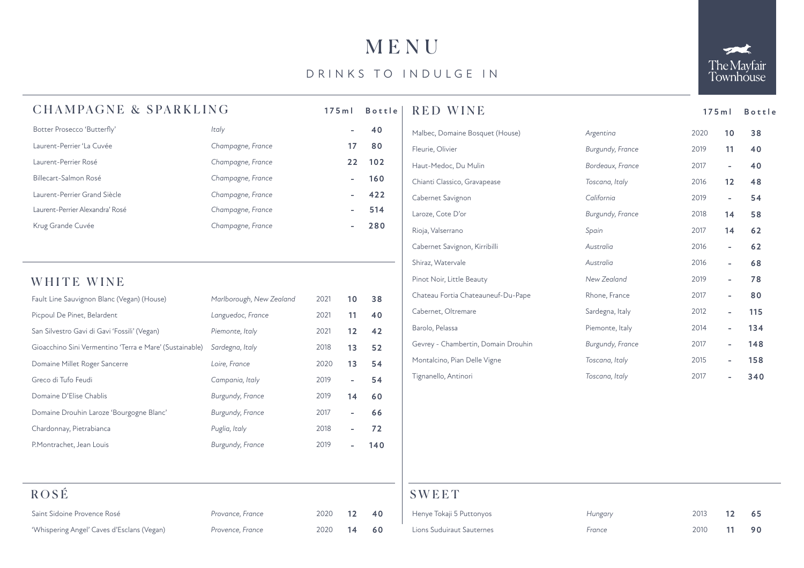## MENU

### DRINKS TO INDULGE IN



### CHAMPAGNE & SPARKLING

| Botter Prosecco 'Butterfly'     | Italy             |    | 40  |
|---------------------------------|-------------------|----|-----|
| Laurent-Perrier 'La Cuvée       | Champagne, France | 17 | 80  |
| Laurent-Perrier Rosé            | Champagne, France | 22 | 102 |
| Billecart-Salmon Rosé           | Champagne, France |    | 160 |
| Laurent-Perrier Grand Siècle    | Champagne, France |    | 422 |
| Laurent-Perrier Alexandra' Rosé | Champagne, France |    | 514 |
| Krug Grande Cuvée               | Champagne, France |    | 280 |

#### WHITE WINE

| Fault Line Sauvignon Blanc (Vegan) (House)              | Marlborough, New Zealand | 2021 | 10                       | 38  |
|---------------------------------------------------------|--------------------------|------|--------------------------|-----|
| Picpoul De Pinet, Belardent                             | Languedoc, France        | 2021 | 11                       | 40  |
| San Silvestro Gavi di Gavi 'Fossili' (Vegan)            | Piemonte, Italy          | 2021 | 12                       | 42  |
| Gioacchino Sini Vermentino 'Terra e Mare' (Sustainable) | Sardegna, Italy          | 2018 | 13                       | 52  |
| Domaine Millet Roger Sancerre                           | Loire, France            | 2020 | 13                       | 54  |
| Greco di Tufo Feudi                                     | Campania, Italy          | 2019 | $\overline{\phantom{0}}$ | 54  |
| Domaine D'Elise Chablis                                 | Burgundy, France         | 2019 | 14                       | 60  |
| Domaine Drouhin Laroze 'Bourgogne Blanc'                | Burgundy, France         | 2017 |                          | 66  |
| Chardonnay, Pietrabianca                                | Puglia, Italy            | 2018 |                          | 72  |
| P.Montrachet, Jean Louis                                | Burgundy, France         | 2019 |                          | 140 |

| ROSE                                       |                  |      |    |    |
|--------------------------------------------|------------------|------|----|----|
| Saint Sidoine Provence Rosé                | Provance, France | 2020 | 12 | 40 |
| 'Whispering Angel' Caves d'Esclans (Vegan) | Provence, France | 2020 | 14 | 60 |

| $175$ m l |                          | <b>Bottle</b> | <b>RED WINE</b>                     |                  | $175$ m l | Bottle                          |
|-----------|--------------------------|---------------|-------------------------------------|------------------|-----------|---------------------------------|
|           | $\overline{\phantom{a}}$ | 40            | Malbec, Domaine Bosquet (House)     | Argentina        | 2020      | 38<br>10                        |
|           | 17                       | 80            | Fleurie, Olivier                    | Burgundy, France | 2019      | 40<br>11                        |
|           | 22                       | 102           | Haut-Medoc, Du Mulin                | Bordeaux, France | 2017      | 40<br>$\overline{\phantom{0}}$  |
|           | $\overline{\phantom{a}}$ | 160           | Chianti Classico, Gravapease        | Toscana, Italy   | 2016      | 48<br>12                        |
|           | -                        | 422           | Cabernet Savignon                   | California       | 2019      | 54<br>$\overline{\phantom{0}}$  |
|           | $\overline{\phantom{0}}$ | 514           | Laroze, Cote D'or                   | Burgundy, France | 2018      | 58<br>14                        |
|           | -                        | 280           | Rioja, Valserrano                   | Spain            | 2017      | 62<br>14                        |
|           |                          |               | Cabernet Savignon, Kirribilli       | Australia        | 2016      | 62<br>$\overline{\phantom{0}}$  |
|           |                          |               | Shiraz, Watervale                   | Australia        | 2016      | 68<br>$\overline{\phantom{0}}$  |
|           |                          |               | Pinot Noir, Little Beauty           | New Zealand      | 2019      | 78<br>$\overline{\phantom{a}}$  |
| 21        | 10                       | 38            | Chateau Fortia Chateauneuf-Du-Pape  | Rhone, France    | 2017      | 80<br>$\overline{\phantom{0}}$  |
| 21        | 11                       | 40            | Cabernet, Oltremare                 | Sardegna, Italy  | 2012      | 115<br>$\overline{\phantom{0}}$ |
| 21        | 12                       | 42            | Barolo, Pelassa                     | Piemonte, Italy  | 2014      | 134                             |
| 18        | 13                       | 52            | Gevrey - Chambertin, Domain Drouhin | Burgundy, France | 2017      | 148<br>۰                        |
| 20        | 13                       | 54            | Montalcino, Pian Delle Vigne        | Toscana, Italy   | 2015      | 158                             |
| 19        | $\overline{\phantom{0}}$ | 54            | Tignanello, Antinori                | Toscana, Italy   | 2017      | 340                             |

#### SWEET

| Henye Tokaji 5 Puttonyos  | Hungary | 2013 12 65 |  |
|---------------------------|---------|------------|--|
| Lions Suduiraut Sauternes | France  | 2010 11 90 |  |